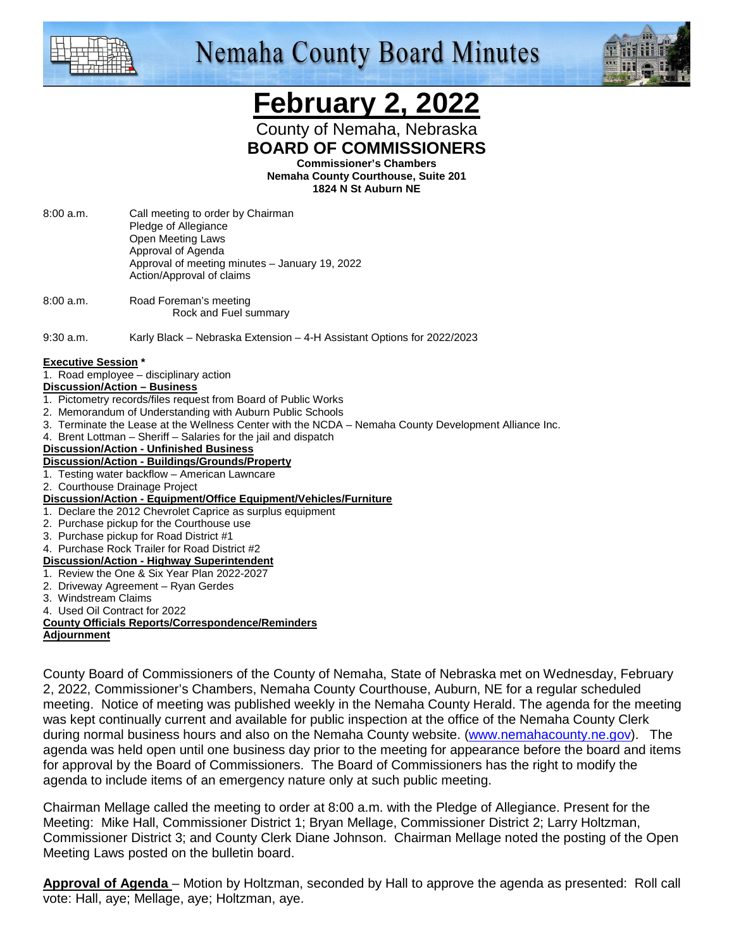

# **Nemaha County Board Minutes**



# **February 2, 2022**

County of Nemaha, Nebraska **BOARD OF COMMISSIONERS** 

**Commissioner's Chambers** 

**Nemaha County Courthouse, Suite 201 1824 N St Auburn NE** 

- 8:00 a.m. Call meeting to order by Chairman Pledge of Allegiance Open Meeting Laws Approval of Agenda Approval of meeting minutes – January 19, 2022 Action/Approval of claims
- 8:00 a.m. Road Foreman's meeting Rock and Fuel summary
- 9:30 a.m. Karly Black Nebraska Extension 4-H Assistant Options for 2022/2023

#### **Executive Session \***

1. Road employee – disciplinary action

#### **Discussion/Action – Business**

- 1. Pictometry records/files request from Board of Public Works
- 2. Memorandum of Understanding with Auburn Public Schools
- 3. Terminate the Lease at the Wellness Center with the NCDA Nemaha County Development Alliance Inc.
- 4. Brent Lottman Sheriff Salaries for the jail and dispatch

#### **Discussion/Action - Unfinished Business**

#### **Discussion/Action - Buildings/Grounds/Property**

- 1. Testing water backflow American Lawncare
- 2. Courthouse Drainage Project
- **Discussion/Action Equipment/Office Equipment/Vehicles/Furniture**
- 1. Declare the 2012 Chevrolet Caprice as surplus equipment
- 2. Purchase pickup for the Courthouse use
- 3. Purchase pickup for Road District #1

#### 4. Purchase Rock Trailer for Road District #2

#### **Discussion/Action - Highway Superintendent**

- 1. Review the One & Six Year Plan 2022-2027
- 2. Driveway Agreement Ryan Gerdes
- 3. Windstream Claims
- 4. Used Oil Contract for 2022

#### **County Officials Reports/Correspondence/Reminders**

**Adjournment**

County Board of Commissioners of the County of Nemaha, State of Nebraska met on Wednesday, February 2, 2022, Commissioner's Chambers, Nemaha County Courthouse, Auburn, NE for a regular scheduled meeting. Notice of meeting was published weekly in the Nemaha County Herald. The agenda for the meeting was kept continually current and available for public inspection at the office of the Nemaha County Clerk during normal business hours and also on the Nemaha County website. (www.nemahacounty.ne.gov). The agenda was held open until one business day prior to the meeting for appearance before the board and items for approval by the Board of Commissioners. The Board of Commissioners has the right to modify the agenda to include items of an emergency nature only at such public meeting.

Chairman Mellage called the meeting to order at 8:00 a.m. with the Pledge of Allegiance. Present for the Meeting: Mike Hall, Commissioner District 1; Bryan Mellage, Commissioner District 2; Larry Holtzman, Commissioner District 3; and County Clerk Diane Johnson. Chairman Mellage noted the posting of the Open Meeting Laws posted on the bulletin board.

**Approval of Agenda** – Motion by Holtzman, seconded by Hall to approve the agenda as presented: Roll call vote: Hall, aye; Mellage, aye; Holtzman, aye.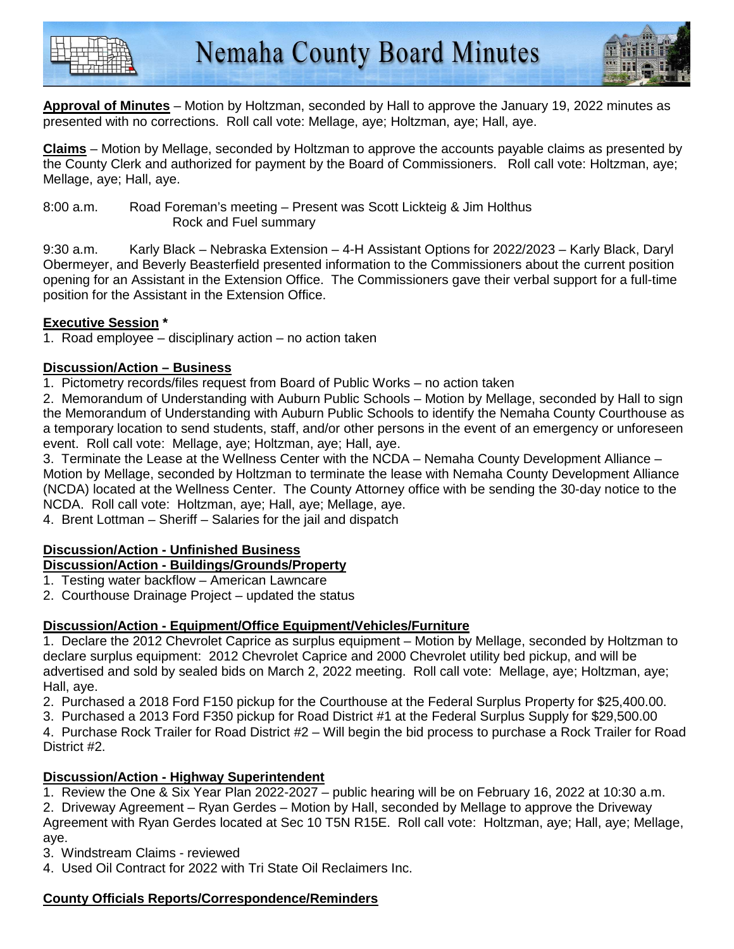



**Approval of Minutes** – Motion by Holtzman, seconded by Hall to approve the January 19, 2022 minutes as presented with no corrections. Roll call vote: Mellage, aye; Holtzman, aye; Hall, aye.

**Claims** – Motion by Mellage, seconded by Holtzman to approve the accounts payable claims as presented by the County Clerk and authorized for payment by the Board of Commissioners. Roll call vote: Holtzman, aye; Mellage, aye; Hall, aye.

### 8:00 a.m. Road Foreman's meeting – Present was Scott Lickteig & Jim Holthus Rock and Fuel summary

9:30 a.m. Karly Black – Nebraska Extension – 4-H Assistant Options for 2022/2023 – Karly Black, Daryl Obermeyer, and Beverly Beasterfield presented information to the Commissioners about the current position opening for an Assistant in the Extension Office. The Commissioners gave their verbal support for a full-time position for the Assistant in the Extension Office.

# **Executive Session \***

1. Road employee – disciplinary action – no action taken

# **Discussion/Action – Business**

1. Pictometry records/files request from Board of Public Works – no action taken

2. Memorandum of Understanding with Auburn Public Schools – Motion by Mellage, seconded by Hall to sign the Memorandum of Understanding with Auburn Public Schools to identify the Nemaha County Courthouse as a temporary location to send students, staff, and/or other persons in the event of an emergency or unforeseen event. Roll call vote: Mellage, aye; Holtzman, aye; Hall, aye.

3. Terminate the Lease at the Wellness Center with the NCDA – Nemaha County Development Alliance – Motion by Mellage, seconded by Holtzman to terminate the lease with Nemaha County Development Alliance (NCDA) located at the Wellness Center. The County Attorney office with be sending the 30-day notice to the NCDA. Roll call vote: Holtzman, aye; Hall, aye; Mellage, aye.

4. Brent Lottman – Sheriff – Salaries for the jail and dispatch

#### **Discussion/Action - Unfinished Business Discussion/Action - Buildings/Grounds/Property**

- 1. Testing water backflow American Lawncare
- 2. Courthouse Drainage Project updated the status

# **Discussion/Action - Equipment/Office Equipment/Vehicles/Furniture**

1. Declare the 2012 Chevrolet Caprice as surplus equipment – Motion by Mellage, seconded by Holtzman to declare surplus equipment: 2012 Chevrolet Caprice and 2000 Chevrolet utility bed pickup, and will be advertised and sold by sealed bids on March 2, 2022 meeting. Roll call vote: Mellage, aye; Holtzman, aye; Hall, aye.

- 2. Purchased a 2018 Ford F150 pickup for the Courthouse at the Federal Surplus Property for \$25,400.00.
- 3. Purchased a 2013 Ford F350 pickup for Road District #1 at the Federal Surplus Supply for \$29,500.00

4. Purchase Rock Trailer for Road District #2 – Will begin the bid process to purchase a Rock Trailer for Road District #2.

# **Discussion/Action - Highway Superintendent**

1. Review the One & Six Year Plan 2022-2027 – public hearing will be on February 16, 2022 at 10:30 a.m. 2. Driveway Agreement – Ryan Gerdes – Motion by Hall, seconded by Mellage to approve the Driveway Agreement with Ryan Gerdes located at Sec 10 T5N R15E. Roll call vote: Holtzman, aye; Hall, aye; Mellage, aye.

3. Windstream Claims - reviewed

4. Used Oil Contract for 2022 with Tri State Oil Reclaimers Inc.

# **County Officials Reports/Correspondence/Reminders**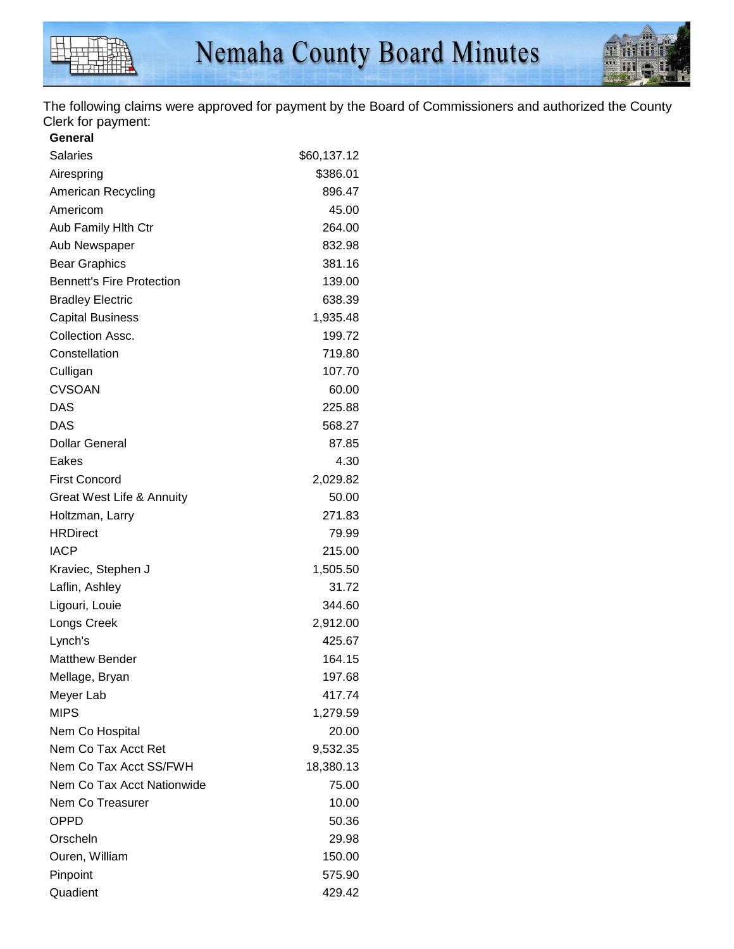

The following claims were approved for payment by the Board of Commissioners and authorized the County Clerk for payment:

| General                          |             |
|----------------------------------|-------------|
| <b>Salaries</b>                  | \$60,137.12 |
| Airespring                       | \$386.01    |
| American Recycling               | 896.47      |
| Americom                         | 45.00       |
| Aub Family Hith Ctr              | 264.00      |
| Aub Newspaper                    | 832.98      |
| <b>Bear Graphics</b>             | 381.16      |
| <b>Bennett's Fire Protection</b> | 139.00      |
| <b>Bradley Electric</b>          | 638.39      |
| <b>Capital Business</b>          | 1,935.48    |
| Collection Assc.                 | 199.72      |
| Constellation                    | 719.80      |
| Culligan                         | 107.70      |
| <b>CVSOAN</b>                    | 60.00       |
| <b>DAS</b>                       | 225.88      |
| <b>DAS</b>                       | 568.27      |
| <b>Dollar General</b>            | 87.85       |
| Eakes                            | 4.30        |
| <b>First Concord</b>             | 2,029.82    |
| Great West Life & Annuity        | 50.00       |
| Holtzman, Larry                  | 271.83      |
| <b>HRDirect</b>                  | 79.99       |
| <b>IACP</b>                      | 215.00      |
| Kraviec, Stephen J               | 1,505.50    |
| Laflin, Ashley                   | 31.72       |
| Ligouri, Louie                   | 344.60      |
| Longs Creek                      | 2,912.00    |
| Lynch's                          | 425.67      |
| <b>Matthew Bender</b>            | 164.15      |
| Mellage, Bryan                   | 197.68      |
| Meyer Lab                        | 417.74      |
| <b>MIPS</b>                      | 1,279.59    |
| Nem Co Hospital                  | 20.00       |
| Nem Co Tax Acct Ret              | 9,532.35    |
| Nem Co Tax Acct SS/FWH           | 18,380.13   |
| Nem Co Tax Acct Nationwide       | 75.00       |
| Nem Co Treasurer                 | 10.00       |
| <b>OPPD</b>                      | 50.36       |
| Orscheln                         | 29.98       |
| Ouren, William                   | 150.00      |
| Pinpoint                         | 575.90      |
| Quadient                         | 429.42      |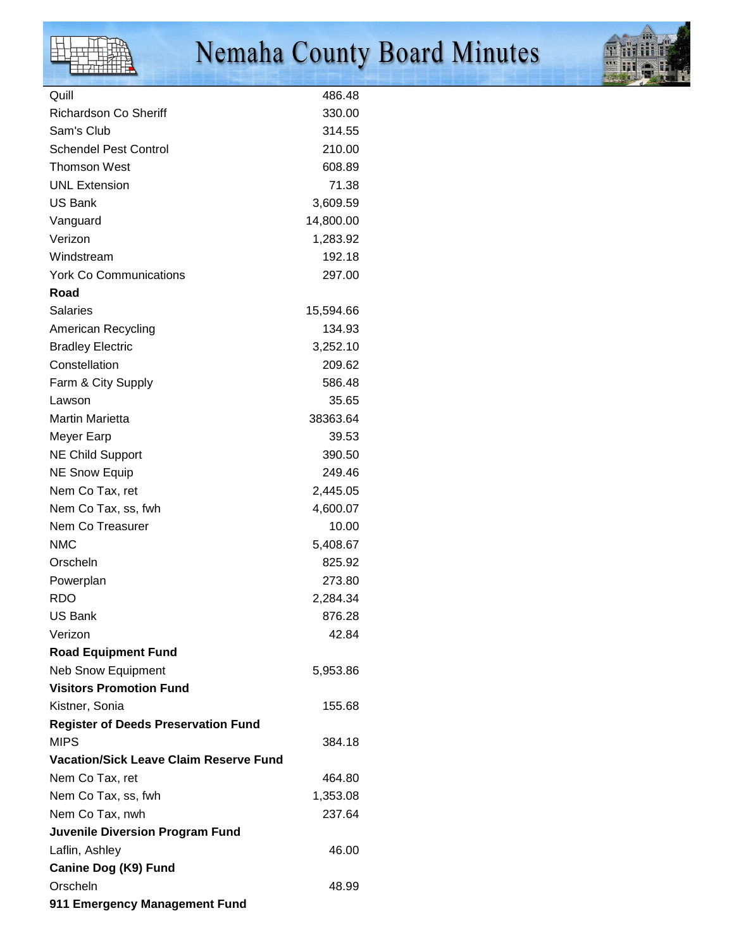

# Nemaha County Board Minutes



| Quill                                         | 486.48    |
|-----------------------------------------------|-----------|
| <b>Richardson Co Sheriff</b>                  | 330.00    |
| Sam's Club                                    | 314.55    |
| <b>Schendel Pest Control</b>                  | 210.00    |
| <b>Thomson West</b>                           | 608.89    |
| <b>UNL Extension</b>                          | 71.38     |
| <b>US Bank</b>                                | 3,609.59  |
| Vanguard                                      | 14,800.00 |
| Verizon                                       | 1,283.92  |
| Windstream                                    | 192.18    |
| <b>York Co Communications</b>                 | 297.00    |
| Road                                          |           |
| <b>Salaries</b>                               | 15,594.66 |
| <b>American Recycling</b>                     | 134.93    |
| <b>Bradley Electric</b>                       | 3,252.10  |
| Constellation                                 | 209.62    |
| Farm & City Supply                            | 586.48    |
| Lawson                                        | 35.65     |
| <b>Martin Marietta</b>                        | 38363.64  |
| Meyer Earp                                    | 39.53     |
| <b>NE Child Support</b>                       | 390.50    |
| <b>NE Snow Equip</b>                          | 249.46    |
| Nem Co Tax, ret                               | 2,445.05  |
| Nem Co Tax, ss, fwh                           | 4,600.07  |
| Nem Co Treasurer                              | 10.00     |
| <b>NMC</b>                                    | 5,408.67  |
| Orscheln                                      | 825.92    |
| Powerplan                                     | 273.80    |
| <b>RDO</b>                                    | 2,284.34  |
| US Bank                                       | 876.28    |
| Verizon                                       | 42.84     |
| <b>Road Equipment Fund</b>                    |           |
| <b>Neb Snow Equipment</b>                     | 5,953.86  |
| <b>Visitors Promotion Fund</b>                |           |
| Kistner, Sonia                                | 155.68    |
| <b>Register of Deeds Preservation Fund</b>    |           |
| <b>MIPS</b>                                   | 384.18    |
| <b>Vacation/Sick Leave Claim Reserve Fund</b> |           |
| Nem Co Tax, ret                               | 464.80    |
| Nem Co Tax, ss, fwh                           | 1,353.08  |
| Nem Co Tax, nwh                               | 237.64    |
| <b>Juvenile Diversion Program Fund</b>        |           |
| Laflin, Ashley                                | 46.00     |
| Canine Dog (K9) Fund                          |           |
| Orscheln                                      | 48.99     |
| 911 Emergency Management Fund                 |           |